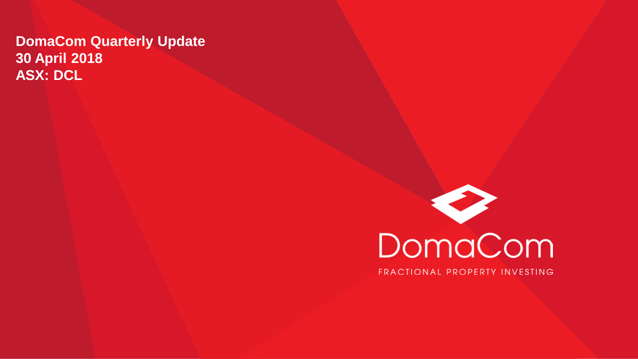#### **DomaCom Quarterly Update 30 April 2018 ASX: DCL**



FRACTIONAL PROPERTY INVESTING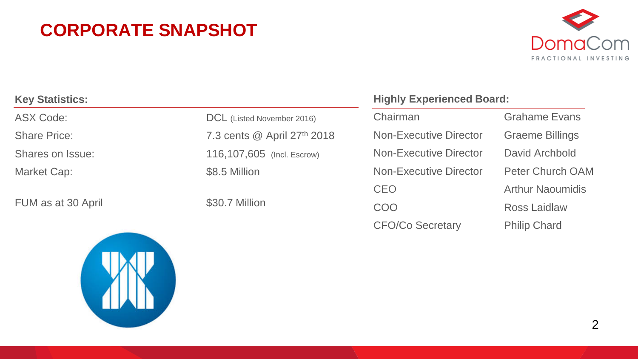#### **CORPORATE SNAPSHOT**



| <b>Key Statistics:</b> |                             |
|------------------------|-----------------------------|
| ASX Code:              | DCL (Listed November 2016)  |
| <b>Share Price:</b>    | 7.3 cents @ April 27th 2018 |
| Shares on Issue:       | 116,107,605 (Incl. Escrow)  |
| Market Cap:            | \$8.5 Million               |
|                        |                             |
| FUM as at 30 April     | \$30.7 Million              |

#### **Highly Experienced Board:**

Chairman Grahame Evans Non-Executive Director Graeme Billings Non-Executive Director David Archbold Non-Executive Director Peter Church OAM CEO **Arthur Naoumidis** COO Ross Laidlaw

CFO/Co Secretary Philip Chard

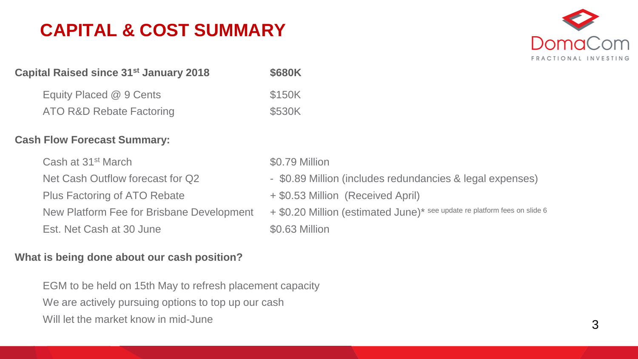#### **CAPITAL & COST SUMMARY**



| Capital Raised since 31 <sup>st</sup> January 2018 | \$680K          |
|----------------------------------------------------|-----------------|
| Equity Placed @ 9 Cents                            | \$150K          |
| <b>ATO R&amp;D Rebate Factoring</b>                | \$530K          |
| <b>Cash Flow Forecast Summary:</b>                 |                 |
| Cash at 31 <sup>st</sup> March                     | \$0.79 Million  |
| Net Cash Outflow forecast for Q2                   | - \$0.89 Millio |
| Plus Factoring of ATO Rebate                       | + \$0.53 Millio |
| New Platform Fee for Brisbane Development          | + \$0.20 Millio |
| Est, Net Cash at 30 June                           | $$0.63$ Million |

#### **What is being done about our cash position?**

EGM to be held on 15th May to refresh placement capacity We are actively pursuing options to top up our cash Will let the market know in mid-June

- Million (includes redundancies & legal expenses)
- Million (Received April)

Million (estimated June)\* see update re platform fees on slide 6  $$0.63$  Million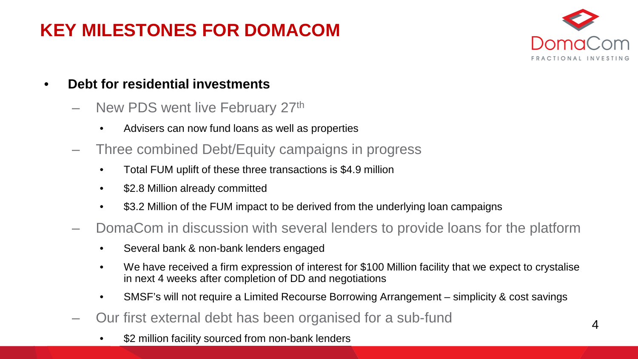#### **KEY MILESTONES FOR DOMACOM**



- **Debt for residential investments**
	- New PDS went live February 27th
		- Advisers can now fund loans as well as properties
	- Three combined Debt/Equity campaigns in progress
		- Total FUM uplift of these three transactions is \$4.9 million
		- \$2.8 Million already committed
		- \$3.2 Million of the FUM impact to be derived from the underlying loan campaigns
	- DomaCom in discussion with several lenders to provide loans for the platform
		- Several bank & non-bank lenders engaged
		- We have received a firm expression of interest for \$100 Million facility that we expect to crystalise in next 4 weeks after completion of DD and negotiations
		- SMSF's will not require a Limited Recourse Borrowing Arrangement simplicity & cost savings
	- Our first external debt has been organised for a sub-fund
		- \$2 million facility sourced from non-bank lenders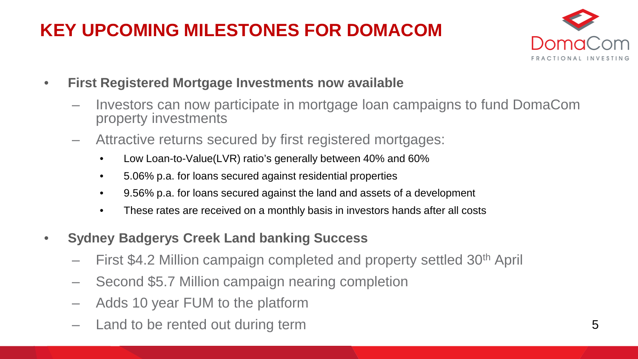## **KEY UPCOMING MILESTONES FOR DOMACOM**



- **First Registered Mortgage Investments now available**
	- Investors can now participate in mortgage loan campaigns to fund DomaCom property investments
	- Attractive returns secured by first registered mortgages:
		- Low Loan-to-Value(LVR) ratio's generally between 40% and 60%
		- 5.06% p.a. for loans secured against residential properties
		- 9.56% p.a. for loans secured against the land and assets of a development
		- These rates are received on a monthly basis in investors hands after all costs
- **Sydney Badgerys Creek Land banking Success**
	- First \$4.2 Million campaign completed and property settled 30th April
	- Second \$5.7 Million campaign nearing completion
	- Adds 10 year FUM to the platform
	- Land to be rented out during term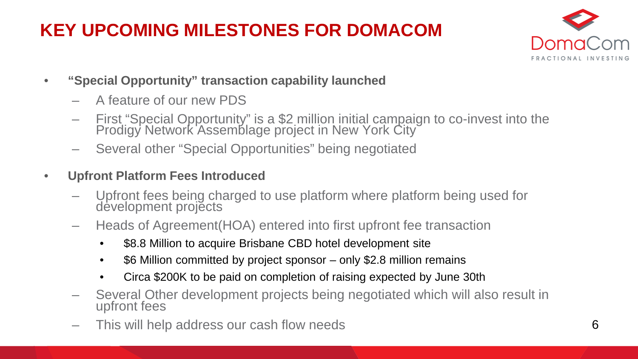## **KEY UPCOMING MILESTONES FOR DOMACOM**



- **"Special Opportunity" transaction capability launched**
	- A feature of our new PDS
	- First "Special Opportunity" is a \$2 million initial campaign to co-invest into the Prodigy Network Assemblage project in New York City
	- Several other "Special Opportunities" being negotiated
- **Upfront Platform Fees Introduced**
	- Upfront fees being charged to use platform where platform being used for development projects
	- Heads of Agreement(HOA) entered into first upfront fee transaction
		- \$8.8 Million to acquire Brisbane CBD hotel development site
		- \$6 Million committed by project sponsor only \$2.8 million remains
		- Circa \$200K to be paid on completion of raising expected by June 30th
	- Several Other development projects being negotiated which will also result in upfront fees
	- This will help address our cash flow needs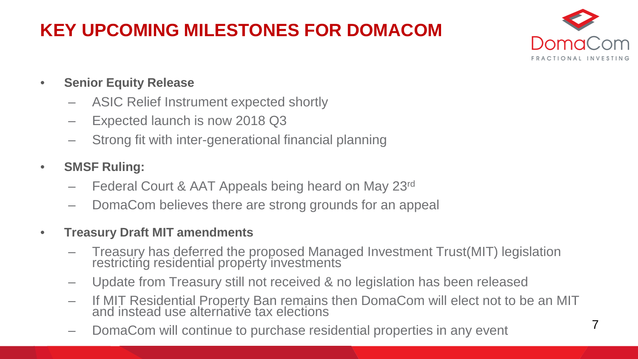## **KEY UPCOMING MILESTONES FOR DOMACOM**



- **Senior Equity Release**
	- ASIC Relief Instrument expected shortly
	- Expected launch is now 2018 Q3
	- Strong fit with inter-generational financial planning
- **SMSF Ruling:** 
	- Federal Court & AAT Appeals being heard on May 23rd
	- DomaCom believes there are strong grounds for an appeal
- **Treasury Draft MIT amendments** 
	- Treasury has deferred the proposed Managed Investment Trust(MIT) legislation restricting residential property investments
	- Update from Treasury still not received & no legislation has been released
	- If MIT Residential Property Ban remains then DomaCom will elect not to be an MIT and instead use alternative tax elections
	- DomaCom will continue to purchase residential properties in any event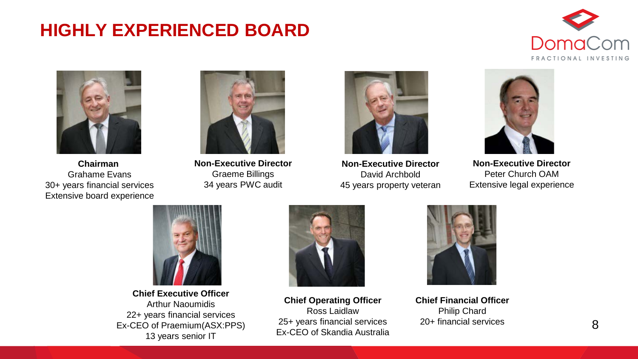#### **HIGHLY EXPERIENCED BOARD**





**Chairman**  Grahame Evans 30+ years financial services Extensive board experience



**Non-Executive Director** Graeme Billings 34 years PWC audit



**Non-Executive Director** David Archbold 45 years property veteran



**Non-Executive Director** Peter Church OAM Extensive legal experience



**Chief Executive Officer** Arthur Naoumidis 22+ years financial services Ex-CEO of Praemium(ASX:PPS) 13 years senior IT



**Chief Operating Officer** Ross Laidlaw 25+ years financial services Ex-CEO of Skandia Australia



**Chief Financial Officer** Philip Chard 20+ financial services